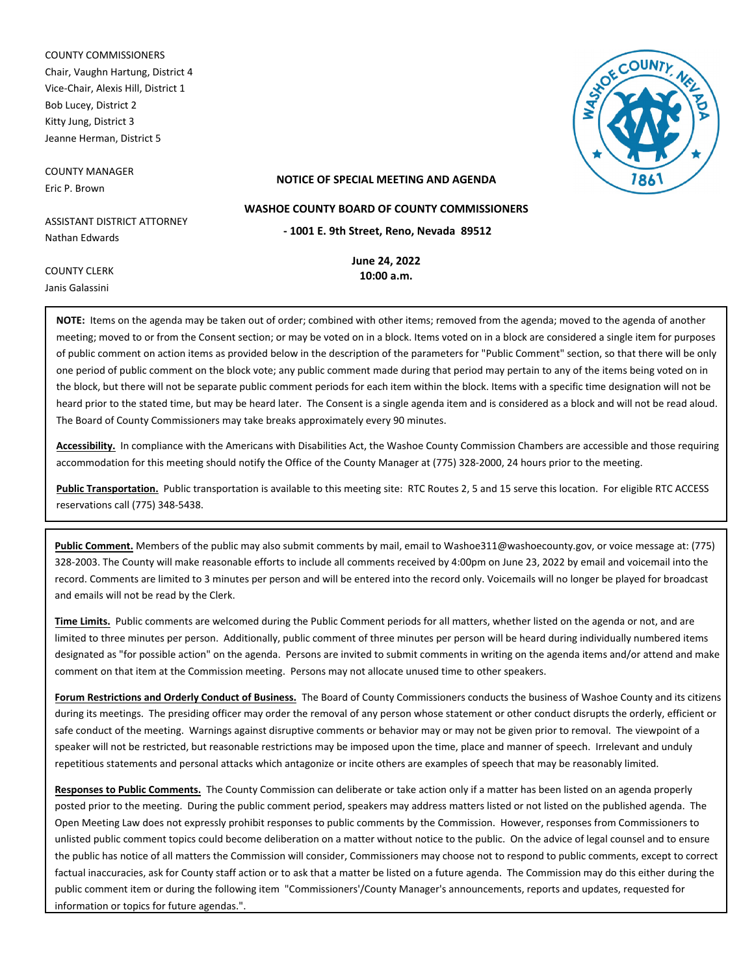COUNTY COMMISSIONERS Chair, Vaughn Hartung, District 4 Vice-Chair, Alexis Hill, District 1 Bob Lucey, District 2 Kitty Jung, District 3 Jeanne Herman, District 5

COUNTY MANAGER Eric P. Brown

COUNTY CLERK Janis Galassini

#### **NOTICE OF SPECIAL MEETING AND AGENDA**

**WASHOE COUNTY BOARD OF COUNTY COMMISSIONERS**

**- 1001 E. 9th Street, Reno, Nevada 89512**

ASSISTANT DISTRICT ATTORNEY Nathan Edwards

> **June 24, 2022 10:00 a.m.**

**NOTE:** Items on the agenda may be taken out of order; combined with other items; removed from the agenda; moved to the agenda of another meeting; moved to or from the Consent section; or may be voted on in a block. Items voted on in a block are considered a single item for purposes of public comment on action items as provided below in the description of the parameters for "Public Comment" section, so that there will be only one period of public comment on the block vote; any public comment made during that period may pertain to any of the items being voted on in the block, but there will not be separate public comment periods for each item within the block. Items with a specific time designation will not be heard prior to the stated time, but may be heard later. The Consent is a single agenda item and is considered as a block and will not be read aloud. The Board of County Commissioners may take breaks approximately every 90 minutes.

**Accessibility.** In compliance with the Americans with Disabilities Act, the Washoe County Commission Chambers are accessible and those requiring accommodation for this meeting should notify the Office of the County Manager at (775) 328-2000, 24 hours prior to the meeting.

**Public Transportation.** Public transportation is available to this meeting site: RTC Routes 2, 5 and 15 serve this location. For eligible RTC ACCESS reservations call (775) 348-5438.

**Public Comment.** Members of the public may also submit comments by mail, email to Washoe311@washoecounty.gov, or voice message at: (775) 328-2003. The County will make reasonable efforts to include all comments received by 4:00pm on June 23, 2022 by email and voicemail into the record. Comments are limited to 3 minutes per person and will be entered into the record only. Voicemails will no longer be played for broadcast and emails will not be read by the Clerk.

**Time Limits.** Public comments are welcomed during the Public Comment periods for all matters, whether listed on the agenda or not, and are limited to three minutes per person. Additionally, public comment of three minutes per person will be heard during individually numbered items designated as "for possible action" on the agenda. Persons are invited to submit comments in writing on the agenda items and/or attend and make comment on that item at the Commission meeting. Persons may not allocate unused time to other speakers.

**Forum Restrictions and Orderly Conduct of Business.** The Board of County Commissioners conducts the business of Washoe County and its citizens during its meetings. The presiding officer may order the removal of any person whose statement or other conduct disrupts the orderly, efficient or safe conduct of the meeting. Warnings against disruptive comments or behavior may or may not be given prior to removal. The viewpoint of a speaker will not be restricted, but reasonable restrictions may be imposed upon the time, place and manner of speech. Irrelevant and unduly repetitious statements and personal attacks which antagonize or incite others are examples of speech that may be reasonably limited.

**Responses to Public Comments.** The County Commission can deliberate or take action only if a matter has been listed on an agenda properly posted prior to the meeting. During the public comment period, speakers may address matters listed or not listed on the published agenda. The Open Meeting Law does not expressly prohibit responses to public comments by the Commission. However, responses from Commissioners to unlisted public comment topics could become deliberation on a matter without notice to the public. On the advice of legal counsel and to ensure the public has notice of all matters the Commission will consider, Commissioners may choose not to respond to public comments, except to correct factual inaccuracies, ask for County staff action or to ask that a matter be listed on a future agenda. The Commission may do this either during the public comment item or during the following item "Commissioners'/County Manager's announcements, reports and updates, requested for information or topics for future agendas.".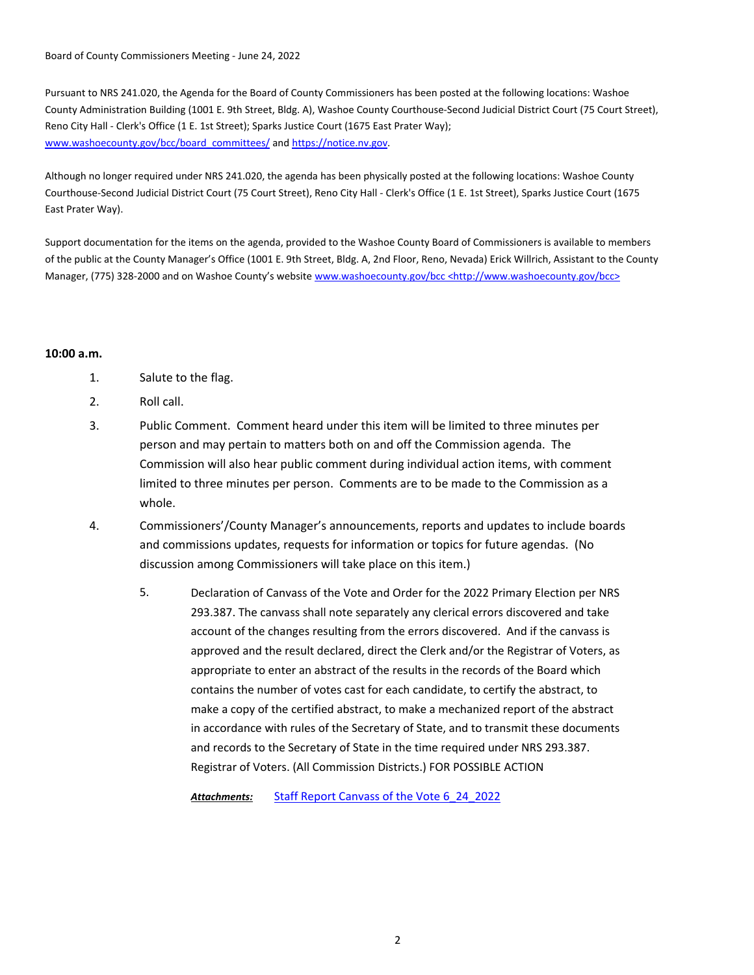Board of County Commissioners Meeting - June 24, 2022

Pursuant to NRS 241.020, the Agenda for the Board of County Commissioners has been posted at the following locations: Washoe County Administration Building (1001 E. 9th Street, Bldg. A), Washoe County Courthouse-Second Judicial District Court (75 Court Street), Reno City Hall - Clerk's Office (1 E. 1st Street); Sparks Justice Court (1675 East Prater Way); www.washoecounty.gov/bcc/board\_committees/ and https://notice.nv.gov.

Although no longer required under NRS 241.020, the agenda has been physically posted at the following locations: Washoe County Courthouse-Second Judicial District Court (75 Court Street), Reno City Hall - Clerk's Office (1 E. 1st Street), Sparks Justice Court (1675 East Prater Way).

Support documentation for the items on the agenda, provided to the Washoe County Board of Commissioners is available to members of the public at the County Manager's Office (1001 E. 9th Street, Bldg. A, 2nd Floor, Reno, Nevada) Erick Willrich, Assistant to the County Manager, (775) 328-2000 and on Washoe County's website www.washoecounty.gov/bcc <http://www.washoecounty.gov/bcc>

## **10:00 a.m.**

- 1. Salute to the flag.
- 2. Roll call.
- 3. Public Comment. Comment heard under this item will be limited to three minutes per person and may pertain to matters both on and off the Commission agenda. The Commission will also hear public comment during individual action items, with comment limited to three minutes per person. Comments are to be made to the Commission as a whole.
- 4. Commissioners'/County Manager's announcements, reports and updates to include boards and commissions updates, requests for information or topics for future agendas. (No discussion among Commissioners will take place on this item.)
	- Declaration of Canvass of the Vote and Order for the 2022 Primary Election per NRS 293.387. The canvass shall note separately any clerical errors discovered and take account of the changes resulting from the errors discovered. And if the canvass is approved and the result declared, direct the Clerk and/or the Registrar of Voters, as appropriate to enter an abstract of the results in the records of the Board which contains the number of votes cast for each candidate, to certify the abstract, to make a copy of the certified abstract, to make a mechanized report of the abstract in accordance with rules of the Secretary of State, and to transmit these documents and records to the Secretary of State in the time required under NRS 293.387. Registrar of Voters. (All Commission Districts.) FOR POSSIBLE ACTION 5.

*Attachments:* [Staff Report Canvass of the Vote 6\\_24\\_2022](http://washoe-nv.legistar.com/gateway.aspx?M=F&ID=a3e9cfeb-4496-483b-92ae-0866334e094b.doc)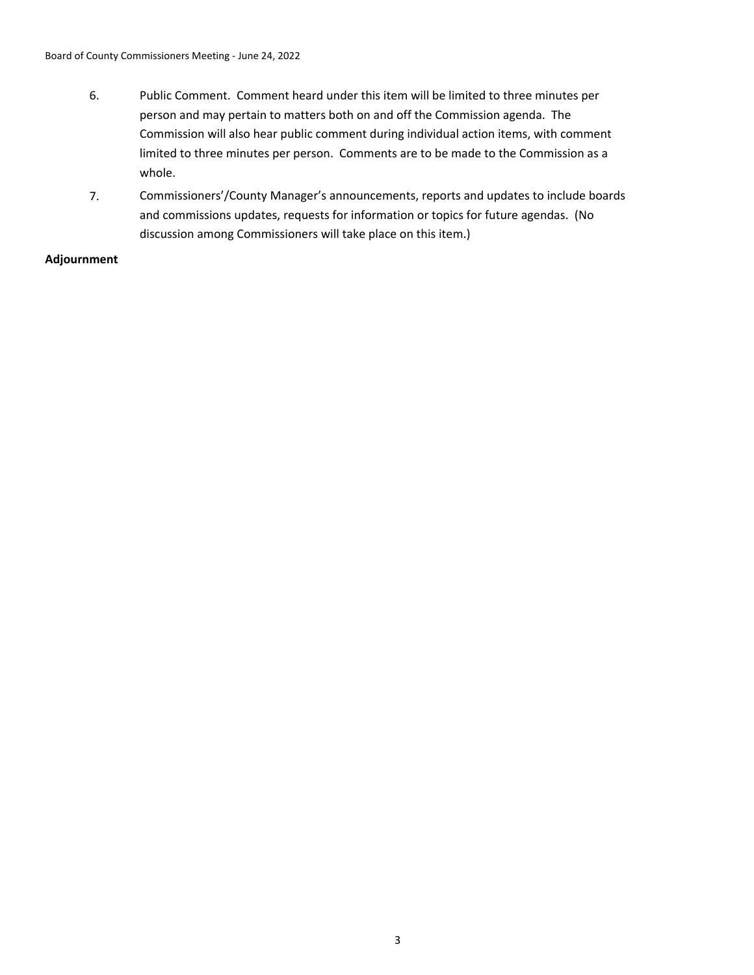- 6. Public Comment. Comment heard under this item will be limited to three minutes per person and may pertain to matters both on and off the Commission agenda. The Commission will also hear public comment during individual action items, with comment limited to three minutes per person. Comments are to be made to the Commission as a whole.
- 7. Commissioners'/County Manager's announcements, reports and updates to include boards and commissions updates, requests for information or topics for future agendas. (No discussion among Commissioners will take place on this item.)

# **Adjournment**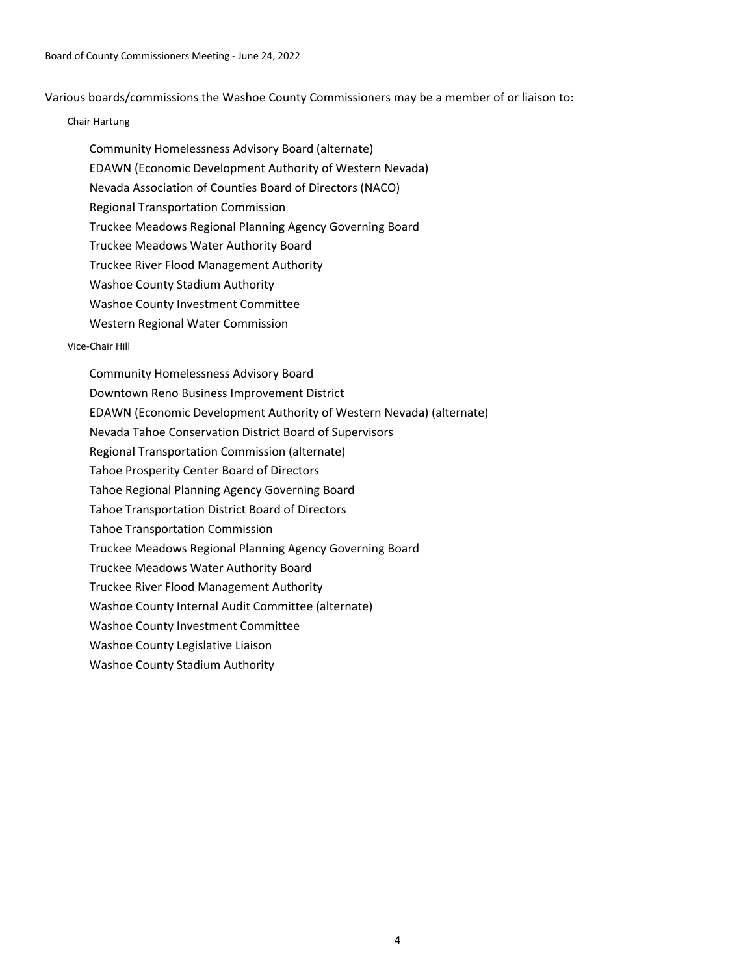Various boards/commissions the Washoe County Commissioners may be a member of or liaison to:

## Chair Hartung

- Community Homelessness Advisory Board (alternate)
- EDAWN (Economic Development Authority of Western Nevada)
- Nevada Association of Counties Board of Directors (NACO)
- Regional Transportation Commission
- Truckee Meadows Regional Planning Agency Governing Board
- Truckee Meadows Water Authority Board
- Truckee River Flood Management Authority
- Washoe County Stadium Authority
- Washoe County Investment Committee
- Western Regional Water Commission

# Vice-Chair Hill

Community Homelessness Advisory Board Downtown Reno Business Improvement District EDAWN (Economic Development Authority of Western Nevada) (alternate) Nevada Tahoe Conservation District Board of Supervisors Regional Transportation Commission (alternate) Tahoe Prosperity Center Board of Directors Tahoe Regional Planning Agency Governing Board Tahoe Transportation District Board of Directors Tahoe Transportation Commission Truckee Meadows Regional Planning Agency Governing Board Truckee Meadows Water Authority Board Truckee River Flood Management Authority Washoe County Internal Audit Committee (alternate) Washoe County Investment Committee Washoe County Legislative Liaison Washoe County Stadium Authority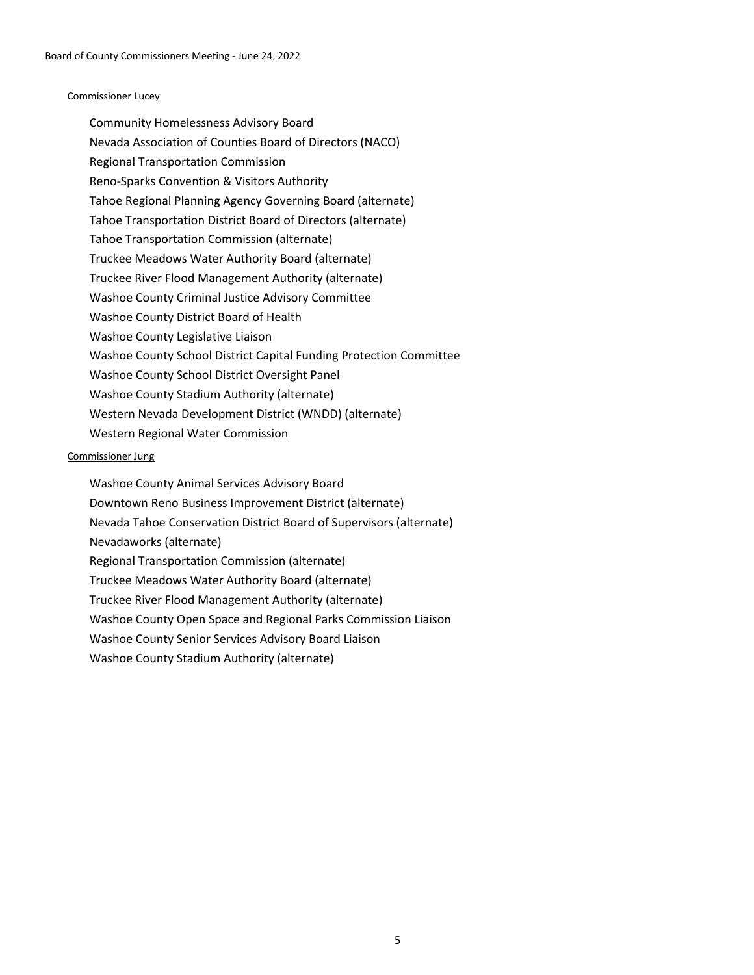### Commissioner Lucey

Community Homelessness Advisory Board Nevada Association of Counties Board of Directors (NACO) Regional Transportation Commission Reno-Sparks Convention & Visitors Authority Tahoe Regional Planning Agency Governing Board (alternate) Tahoe Transportation District Board of Directors (alternate) Tahoe Transportation Commission (alternate) Truckee Meadows Water Authority Board (alternate) Truckee River Flood Management Authority (alternate) Washoe County Criminal Justice Advisory Committee Washoe County District Board of Health Washoe County Legislative Liaison Washoe County School District Capital Funding Protection Committee Washoe County School District Oversight Panel Washoe County Stadium Authority (alternate) Western Nevada Development District (WNDD) (alternate) Western Regional Water Commission

### Commissioner Jung

Washoe County Animal Services Advisory Board Downtown Reno Business Improvement District (alternate) Nevada Tahoe Conservation District Board of Supervisors (alternate) Nevadaworks (alternate) Regional Transportation Commission (alternate) Truckee Meadows Water Authority Board (alternate) Truckee River Flood Management Authority (alternate) Washoe County Open Space and Regional Parks Commission Liaison Washoe County Senior Services Advisory Board Liaison Washoe County Stadium Authority (alternate)